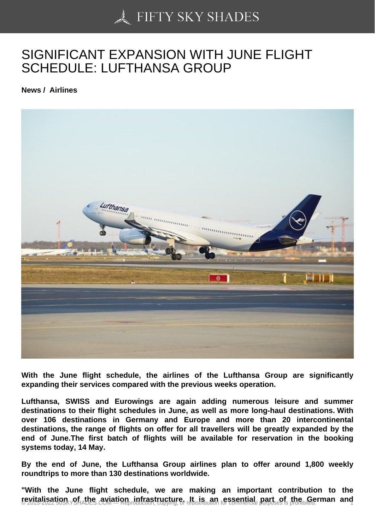## [SIGNIFICANT EXPAN](https://50skyshades.com)SION WITH JUNE FLIGHT SCHEDULE: LUFTHANSA GROUP

News / Airlines

With the June flight schedule, the airlines of the Lufthansa Group are significantly expanding their services compared with the previous weeks operation.

Lufthansa, SWISS and Eurowings are again adding numerous leisure and summer destinations to their flight schedules in June, as well as more long-haul destinations. With over 106 destinations in Germany and Europe and more than 20 intercontinental destinations, the range of flights on offer for all travellers will be greatly expanded by the end of June.The first batch of flights will be available for reservation in the booking systems today, 14 May.

By the end of June, the Lufthansa Group airlines plan to offer around 1,800 weekly roundtrips to more than 130 destinations worldwide.

"With the June flight schedule, we are making an important contribution to the revitalisation of the aviation infrastructure. It is an essential part of the German and  $\frac{1}{1}$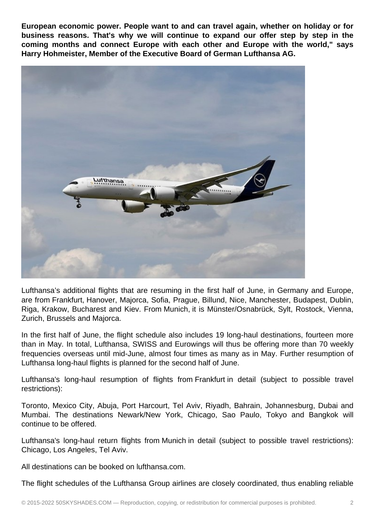**European economic power. People want to and can travel again, whether on holiday or for business reasons. That's why we will continue to expand our offer step by step in the coming months and connect Europe with each other and Europe with the world," says Harry Hohmeister, Member of the Executive Board of German Lufthansa AG.**



Lufthansa's additional flights that are resuming in the first half of June, in Germany and Europe, are from Frankfurt, Hanover, Majorca, Sofia, Prague, Billund, Nice, Manchester, Budapest, Dublin, Riga, Krakow, Bucharest and Kiev. From Munich, it is Münster/Osnabrück, Sylt, Rostock, Vienna, Zurich, Brussels and Majorca.

In the first half of June, the flight schedule also includes 19 long-haul destinations, fourteen more than in May. In total, Lufthansa, SWISS and Eurowings will thus be offering more than 70 weekly frequencies overseas until mid-June, almost four times as many as in May. Further resumption of Lufthansa long-haul flights is planned for the second half of June.

Lufthansa's long-haul resumption of flights from Frankfurt in detail (subject to possible travel restrictions):

Toronto, Mexico City, Abuja, Port Harcourt, Tel Aviv, Riyadh, Bahrain, Johannesburg, Dubai and Mumbai. The destinations Newark/New York, Chicago, Sao Paulo, Tokyo and Bangkok will continue to be offered.

Lufthansa's long-haul return flights from Munich in detail (subject to possible travel restrictions): Chicago, Los Angeles, Tel Aviv.

All destinations can be booked on lufthansa.com.

The flight schedules of the Lufthansa Group airlines are closely coordinated, thus enabling reliable